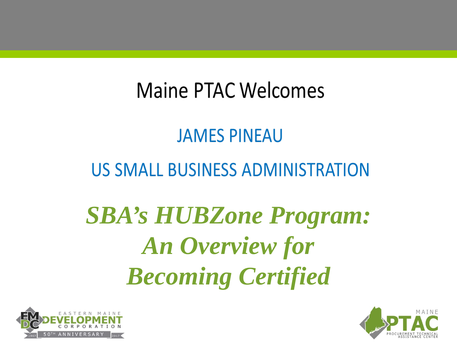## Maine PTAC Welcomes

#### **JAMES PINEAU**

#### **US SMALL BUSINESS ADMINISTRATION**

## *SBA's HUBZone Program: An Overview for Becoming Certified*



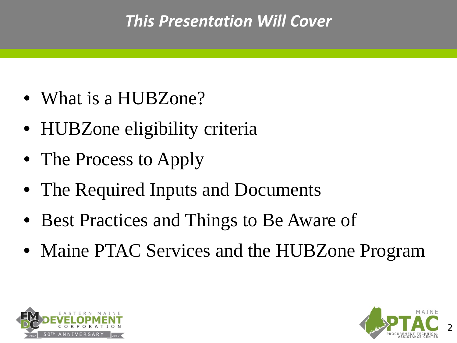#### *This Presentation Will Cover*

- What is a HUBZone?
- HUBZone eligibility criteria
- The Process to Apply
- The Required Inputs and Documents
- Best Practices and Things to Be Aware of
- Maine PTAC Services and the HUBZone Program



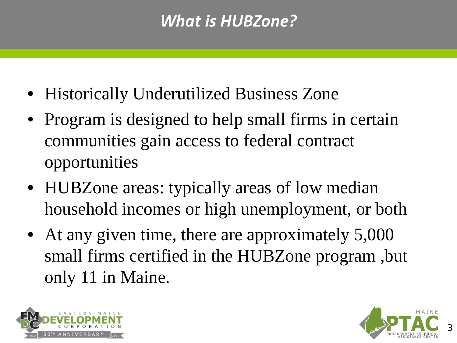#### *What is HUBZone?*

- Historically Underutilized Business Zone
- Program is designed to help small firms in certain communities gain access to federal contract opportunities
- HUBZone areas: typically areas of low median household incomes or high unemployment, or both
- At any given time, there are approximately 5,000 small firms certified in the HUBZone program ,but only 11 in Maine.



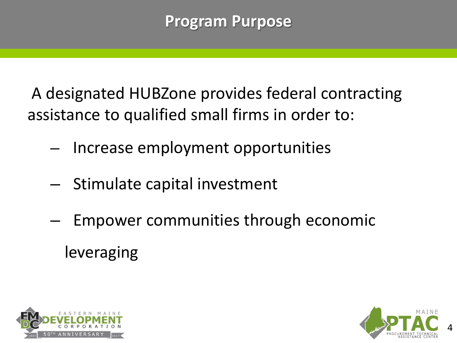A designated HUBZone provides federal contracting assistance to qualified small firms in order to:

- Increase employment opportunities
- Stimulate capital investment
- Empower communities through economic leveraging



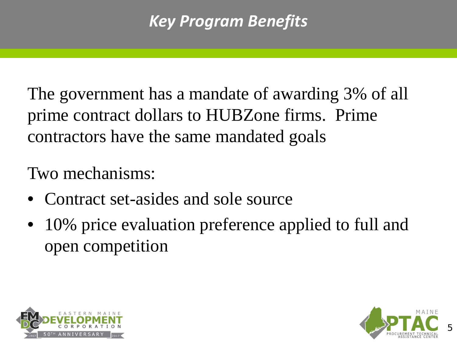#### *Key Program Benefits*

The government has a mandate of awarding 3% of all prime contract dollars to HUBZone firms. Prime contractors have the same mandated goals

#### Two mechanisms:

- Contract set-asides and sole source
- 10% price evaluation preference applied to full and open competition



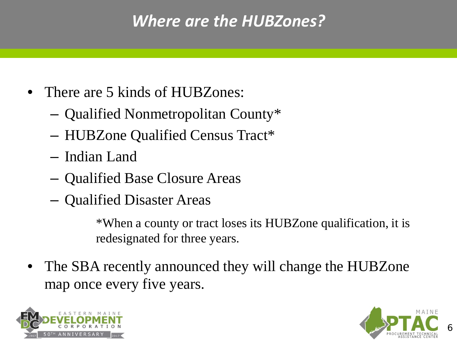#### *Where are the HUBZones?*

- There are 5 kinds of HUBZones:
	- Qualified Nonmetropolitan County\*
	- HUBZone Qualified Census Tract\*
	- Indian Land
	- Qualified Base Closure Areas
	- Qualified Disaster Areas

\*When a county or tract loses its HUBZone qualification, it is redesignated for three years.

The SBA recently announced they will change the HUBZone map once every five years.



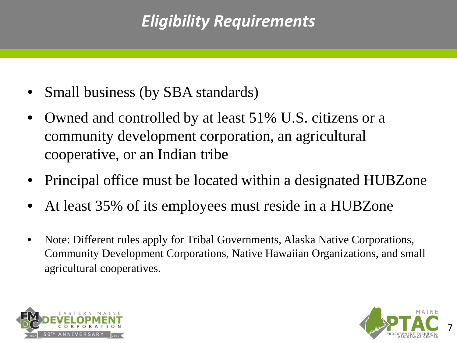#### *Eligibility Requirements*

- Small business (by SBA standards)
- Owned and controlled by at least 51% U.S. citizens or a community development corporation, an agricultural cooperative, or an Indian tribe
- Principal office must be located within a designated HUBZone
- At least 35% of its employees must reside in a HUBZone
- Note: Different rules apply for Tribal Governments, Alaska Native Corporations, Community Development Corporations, Native Hawaiian Organizations, and small agricultural cooperatives.



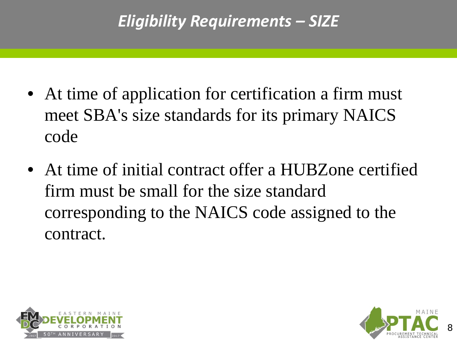- At time of application for certification a firm must meet SBA's size standards for its primary NAICS code
- At time of initial contract offer a HUBZone certified firm must be small for the size standard corresponding to the NAICS code assigned to the contract.



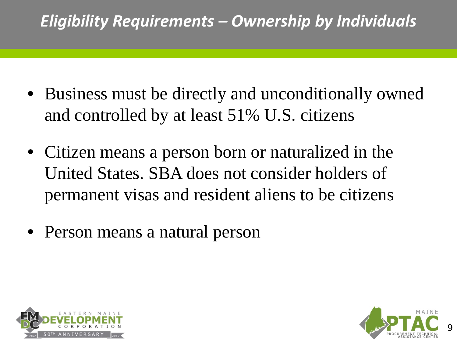#### *Eligibility Requirements – Ownership by Individuals*

- Business must be directly and unconditionally owned and controlled by at least 51% U.S. citizens
- Citizen means a person born or naturalized in the United States. SBA does not consider holders of permanent visas and resident aliens to be citizens
- Person means a natural person



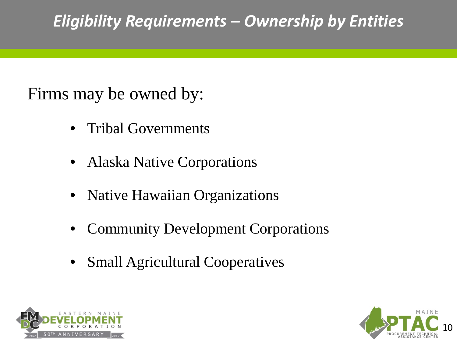#### *Eligibility Requirements – Ownership by Entities*

Firms may be owned by:

- Tribal Governments
- Alaska Native Corporations
- Native Hawaiian Organizations
- Community Development Corporations
- Small Agricultural Cooperatives



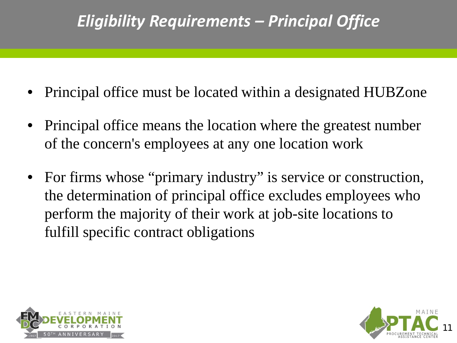#### *Eligibility Requirements – Principal Office*

- Principal office must be located within a designated HUBZone
- Principal office means the location where the greatest number of the concern's employees at any one location work
- For firms whose "primary industry" is service or construction, the determination of principal office excludes employees who perform the majority of their work at job-site locations to fulfill specific contract obligations



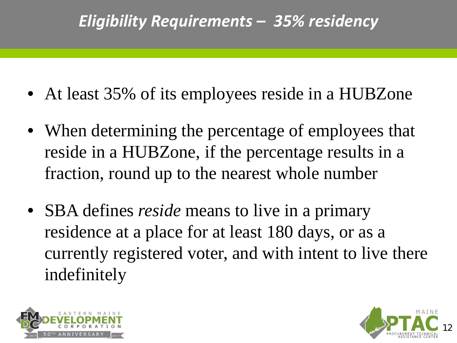#### *Eligibility Requirements – 35% residency*

- At least 35% of its employees reside in a HUBZone
- When determining the percentage of employees that reside in a HUBZone, if the percentage results in a fraction, round up to the nearest whole number
- SBA defines *reside* means to live in a primary residence at a place for at least 180 days, or as a currently registered voter, and with intent to live there indefinitely



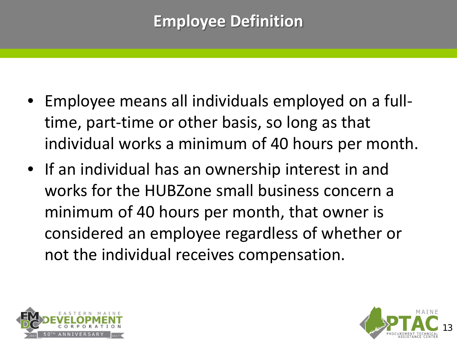#### **Employee Definition**

- Employee means all individuals employed on a fulltime, part-time or other basis, so long as that individual works a minimum of 40 hours per month.
- If an individual has an ownership interest in and works for the HUBZone small business concern a minimum of 40 hours per month, that owner is considered an employee regardless of whether or not the individual receives compensation.



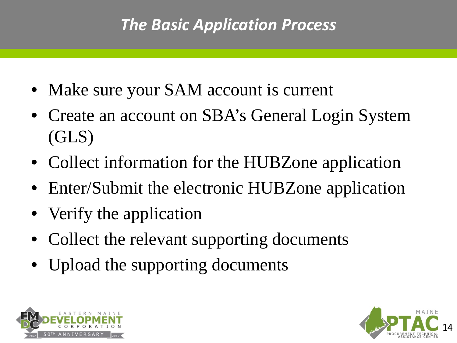#### *The Basic Application Process*

- Make sure your SAM account is current
- Create an account on SBA's General Login System (GLS)
- Collect information for the HUBZone application
- Enter/Submit the electronic HUBZone application
- Verify the application
- Collect the relevant supporting documents
- Upload the supporting documents



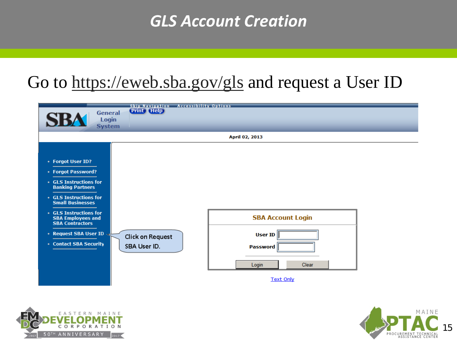#### *GLS Account Creation*

#### Go to<https://eweb.sba.gov/gls> and request a User ID





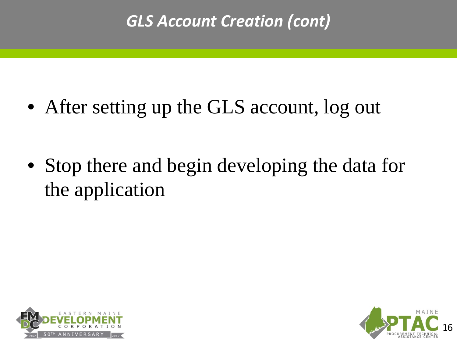#### *GLS Account Creation (cont)*

• After setting up the GLS account, log out

• Stop there and begin developing the data for the application



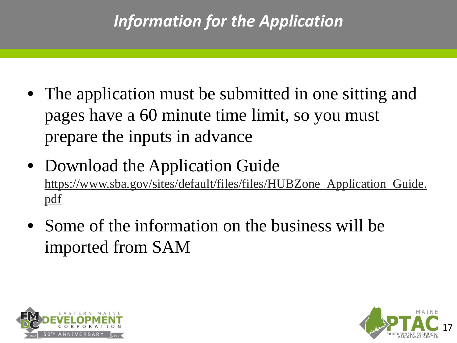#### *Information for the Application*

- The application must be submitted in one sitting and pages have a 60 minute time limit, so you must prepare the inputs in advance
- Download the Application Guide [https://www.sba.gov/sites/default/files/files/HUBZone\\_Application\\_Guide.](https://www.sba.gov/sites/default/files/files/HUBZone_Application_Guide.pdf) [pdf](https://www.sba.gov/sites/default/files/files/HUBZone_Application_Guide.pdf)
- Some of the information on the business will be imported from SAM



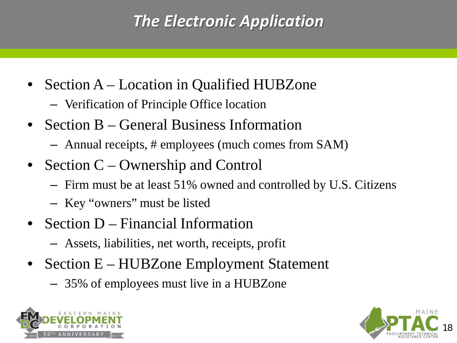#### *The Electronic Application*

- Section A Location in Qualified HUBZone
	- Verification of Principle Office location
- Section B General Business Information
	- Annual receipts, # employees (much comes from SAM)
- Section C Ownership and Control
	- Firm must be at least 51% owned and controlled by U.S. Citizens
	- Key "owners" must be listed
- Section D Financial Information
	- Assets, liabilities, net worth, receipts, profit
- Section E HUBZone Employment Statement
	- 35% of employees must live in a HUBZone



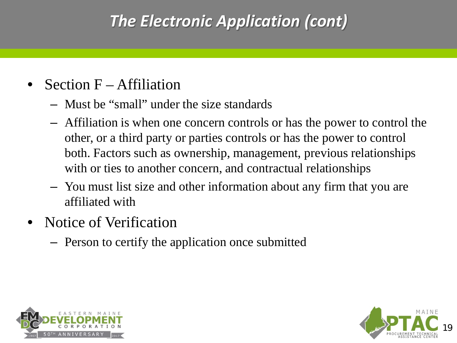#### *The Electronic Application (cont)*

- Section  $F Affiliation$ 
	- Must be "small" under the size standards
	- Affiliation is when one concern controls or has the power to control the other, or a third party or parties controls or has the power to control both. Factors such as ownership, management, previous relationships with or ties to another concern, and contractual relationships
	- You must list size and other information about any firm that you are affiliated with
- Notice of Verification
	- Person to certify the application once submitted



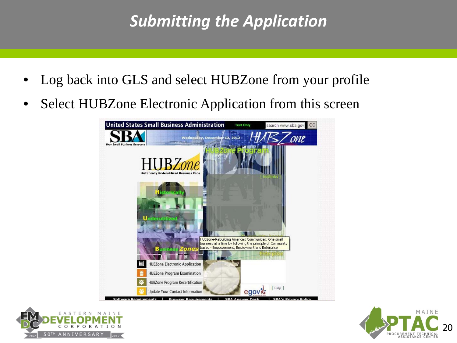#### *Submitting the Application*

- Log back into GLS and select HUBZone from your profile
- Select HUBZone Electronic Application from this screen





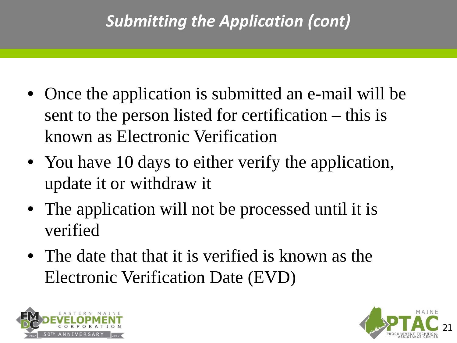#### *Submitting the Application (cont)*

- Once the application is submitted an e-mail will be sent to the person listed for certification – this is known as Electronic Verification
- You have 10 days to either verify the application, update it or withdraw it
- The application will not be processed until it is verified
- The date that that it is verified is known as the Electronic Verification Date (EVD)



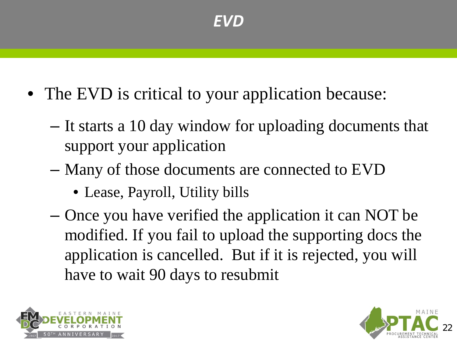- The EVD is critical to your application because:
	- It starts a 10 day window for uploading documents that support your application
	- Many of those documents are connected to EVD
		- Lease, Payroll, Utility bills
	- Once you have verified the application it can NOT be modified. If you fail to upload the supporting docs the application is cancelled. But if it is rejected, you will have to wait 90 days to resubmit



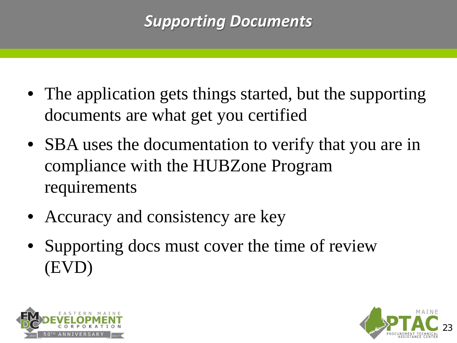#### *Supporting Documents*

- The application gets things started, but the supporting documents are what get you certified
- SBA uses the documentation to verify that you are in compliance with the HUBZone Program requirements
- Accuracy and consistency are key
- Supporting docs must cover the time of review (EVD)



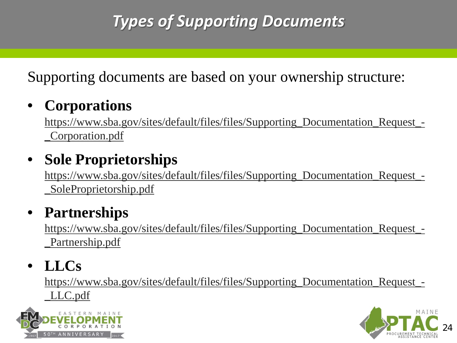Supporting documents are based on your ownership structure:

#### • **Corporations**

[https://www.sba.gov/sites/default/files/files/Supporting\\_Documentation\\_Request\\_-](https://www.sba.gov/sites/default/files/files/Supporting_Documentation_Request_-_Corporation.pdf) [\\_Corporation.pdf](https://www.sba.gov/sites/default/files/files/Supporting_Documentation_Request_-_Corporation.pdf)

#### • **Sole Proprietorships**

[https://www.sba.gov/sites/default/files/files/Supporting\\_Documentation\\_Request\\_-](https://www.sba.gov/sites/default/files/files/Supporting_Documentation_Request_-_SoleProprietorship.pdf) [\\_SoleProprietorship.pdf](https://www.sba.gov/sites/default/files/files/Supporting_Documentation_Request_-_SoleProprietorship.pdf)

#### • **Partnerships**

[https://www.sba.gov/sites/default/files/files/Supporting\\_Documentation\\_Request\\_-](https://www.sba.gov/sites/default/files/files/Supporting_Documentation_Request_-_Partnership.pdf) [\\_Partnership.pdf](https://www.sba.gov/sites/default/files/files/Supporting_Documentation_Request_-_Partnership.pdf)

#### • **LLCs**

[https://www.sba.gov/sites/default/files/files/Supporting\\_Documentation\\_Request\\_-](https://www.sba.gov/sites/default/files/files/Supporting_Documentation_Request_-_LLC.pdf) [\\_LLC.pdf](https://www.sba.gov/sites/default/files/files/Supporting_Documentation_Request_-_LLC.pdf)



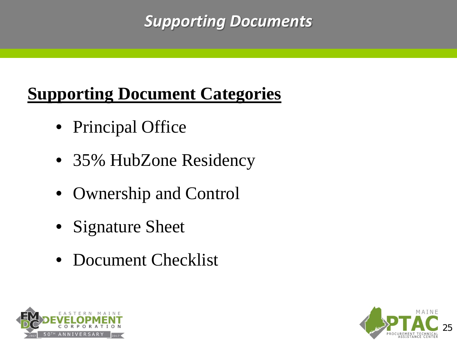#### *Supporting Documents*

#### **Supporting Document Categories**

- Principal Office
- 35% HubZone Residency
- Ownership and Control
- Signature Sheet
- Document Checklist



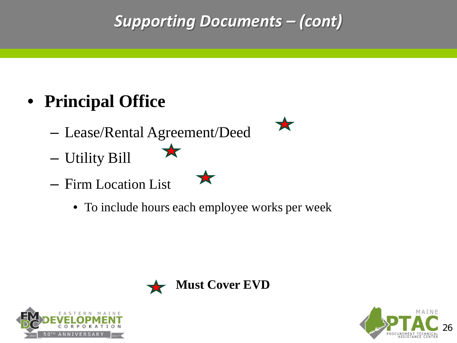#### *Supporting Documents – (cont)*

#### • **Principal Office**

- Lease/Rental Agreement/Deed
- Utility Bill
- Firm Location List
	- To include hours each employee works per week





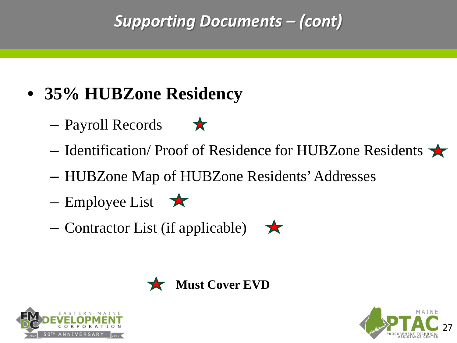#### *Supporting Documents – (cont)*

- **35% HUBZone Residency**
	- Payroll Records
	- Identification/ Proof of Residence for HUBZone Residents
	- HUBZone Map of HUBZone Residents' Addresses
	- Employee List  $\star$
	- Contractor List (if applicable)  $\rightarrow$



**Must Cover EVD**



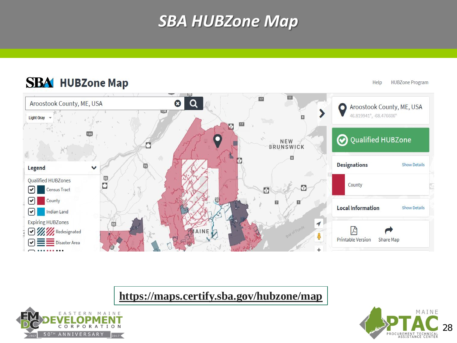#### *SBA HUBZone Map*

#### **SBA** HUBZone Map  $\mathbf{m}$ 叼  $\alpha$ Aroostook County, ME, USA  $\boldsymbol{\Omega}$ Aroostook County, ME, USA  $\bullet$ 138 46.819941°, -68.476606° **Light Gray** Ð D Q Qualified HUBZone NEW BRUNSWICK ŋ  $\Box$ **Designations Show Details** Legend 55 Qualified HUBZones O County ା Census Tract  $\sqrt{2}$  $\boldsymbol{\triangledown}$ County **Local Information Show Details**  $\boxed{\mathbf{v}}$ Indian Land **Expiring HUBZones** 1 因 闪 **V** *Redesignated* **Printable Version** Share Map Disaster Area

**<https://maps.certify.sba.gov/hubzone/map>**





**HUBZone Program** 

Help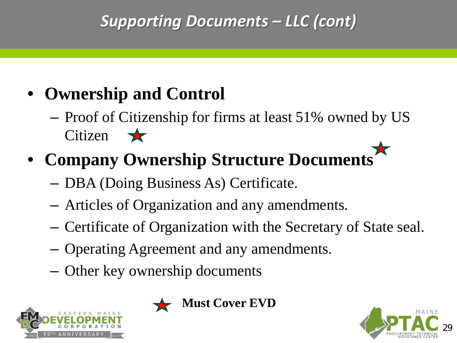#### *Supporting Documents – LLC (cont)*

#### • **Ownership and Control**

– Proof of Citizenship for firms at least 51% owned by US  $Citizen \rightarrow \blacktriangleright$ 

#### • **Company Ownership Structure Documents**

- DBA (Doing Business As) Certificate.
- Articles of Organization and any amendments.
- Certificate of Organization with the Secretary of State seal.
- Operating Agreement and any amendments.
- Other key ownership documents





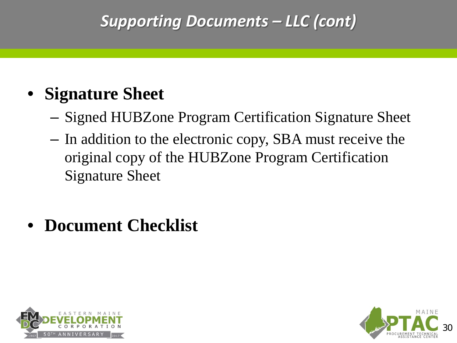#### *Supporting Documents – LLC (cont)*

#### • **Signature Sheet**

- Signed HUBZone Program Certification Signature Sheet
- In addition to the electronic copy, SBA must receive the original copy of the HUBZone Program Certification Signature Sheet

#### • **Document Checklist**



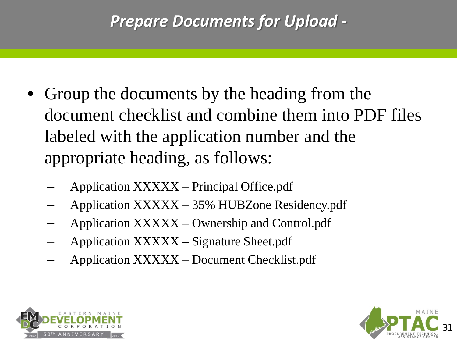#### *Prepare Documents for Upload -*

- Group the documents by the heading from the document checklist and combine them into PDF files labeled with the application number and the appropriate heading, as follows:
	- Application XXXXX Principal Office.pdf
	- Application XXXXX 35% HUBZone Residency.pdf
	- Application XXXXX Ownership and Control.pdf
	- Application XXXXX Signature Sheet.pdf
	- Application XXXXX Document Checklist.pdf



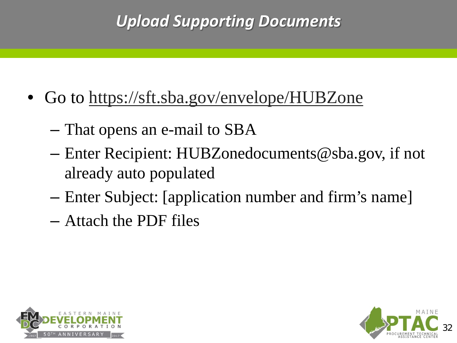#### *Upload Supporting Documents*

- Go to<https://sft.sba.gov/envelope/HUBZone>
	- That opens an e-mail to SBA
	- Enter Recipient: HUBZonedocuments@sba.gov, if not already auto populated
	- Enter Subject: [application number and firm's name]
	- Attach the PDF files



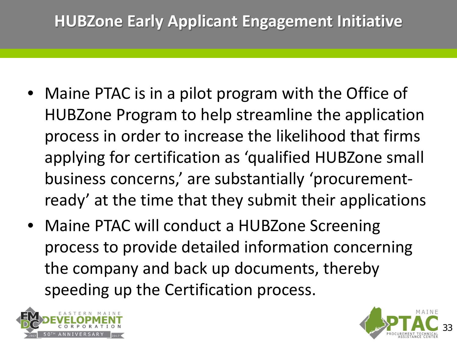#### **HUBZone Early Applicant Engagement Initiative**

- Maine PTAC is in a pilot program with the Office of HUBZone Program to help streamline the application process in order to increase the likelihood that firms applying for certification as 'qualified HUBZone small business concerns,' are substantially 'procurementready' at the time that they submit their applications
- Maine PTAC will conduct a HUBZone Screening process to provide detailed information concerning the company and back up documents, thereby speeding up the Certification process.



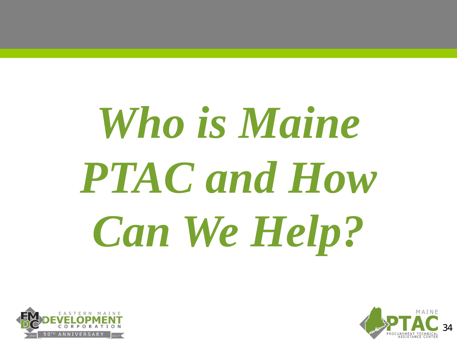# *Who is Maine PTAC and How Can We Help?*



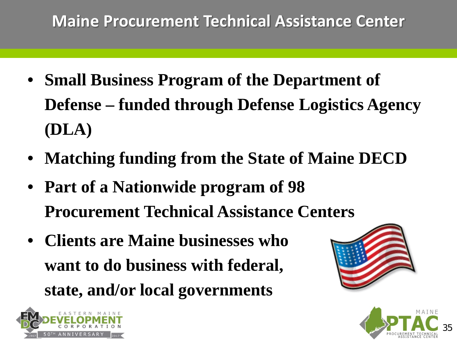#### **Maine Procurement Technical Assistance Center**

- **Small Business Program of the Department of Defense – funded through Defense Logistics Agency (DLA)**
- **Matching funding from the State of Maine DECD**
- **Part of a Nationwide program of 98 Procurement Technical Assistance Centers**
- **Clients are Maine businesses who want to do business with federal, state, and/or local governments**





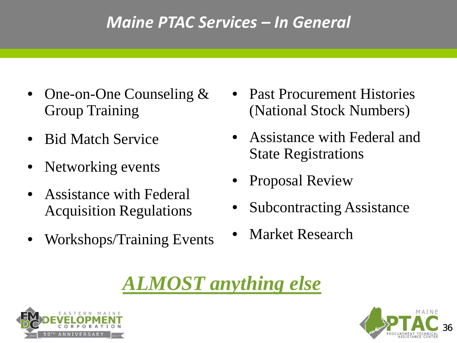#### *Maine PTAC Services – In General*

- One-on-One Counseling & Group Training
- Bid Match Service
- Networking events
- Assistance with Federal Acquisition Regulations
- Workshops/Training Events
- Past Procurement Histories (National Stock Numbers)
- Assistance with Federal and State Registrations
- Proposal Review
- Subcontracting Assistance
- Market Research

#### *ALMOST anything else*



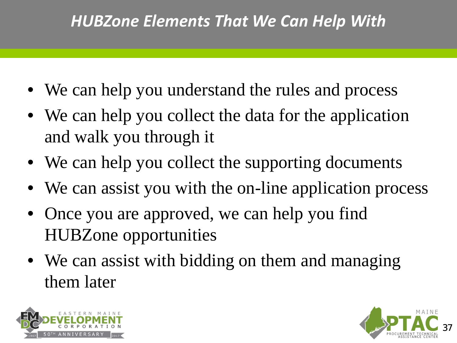#### *HUBZone Elements That We Can Help With*

- We can help you understand the rules and process
- We can help you collect the data for the application and walk you through it
- We can help you collect the supporting documents
- We can assist you with the on-line application process
- Once you are approved, we can help you find HUBZone opportunities
- We can assist with bidding on them and managing them later